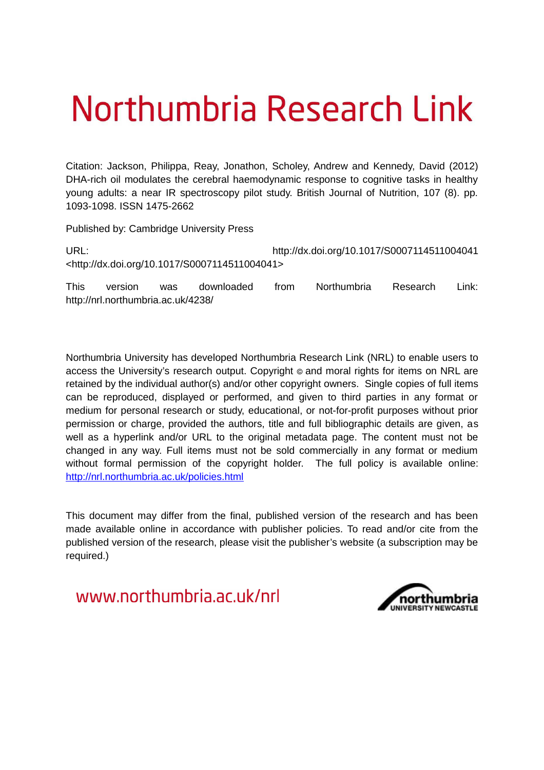# Northumbria Research Link

Citation: Jackson, Philippa, Reay, Jonathon, Scholey, Andrew and Kennedy, David (2012) DHA-rich oil modulates the cerebral haemodynamic response to cognitive tasks in healthy young adults: a near IR spectroscopy pilot study. British Journal of Nutrition, 107 (8). pp. 1093-1098. ISSN 1475-2662

Published by: Cambridge University Press

URL: http://dx.doi.org/10.1017/S0007114511004041 <http://dx.doi.org/10.1017/S0007114511004041>

This version was downloaded from Northumbria Research Link: http://nrl.northumbria.ac.uk/4238/

Northumbria University has developed Northumbria Research Link (NRL) to enable users to access the University's research output. Copyright  $\circ$  and moral rights for items on NRL are retained by the individual author(s) and/or other copyright owners. Single copies of full items can be reproduced, displayed or performed, and given to third parties in any format or medium for personal research or study, educational, or not-for-profit purposes without prior permission or charge, provided the authors, title and full bibliographic details are given, as well as a hyperlink and/or URL to the original metadata page. The content must not be changed in any way. Full items must not be sold commercially in any format or medium without formal permission of the copyright holder. The full policy is available online: <http://nrl.northumbria.ac.uk/policies.html>

This document may differ from the final, published version of the research and has been made available online in accordance with publisher policies. To read and/or cite from the published version of the research, please visit the publisher's website (a subscription may be required.)

www.northumbria.ac.uk/nrl

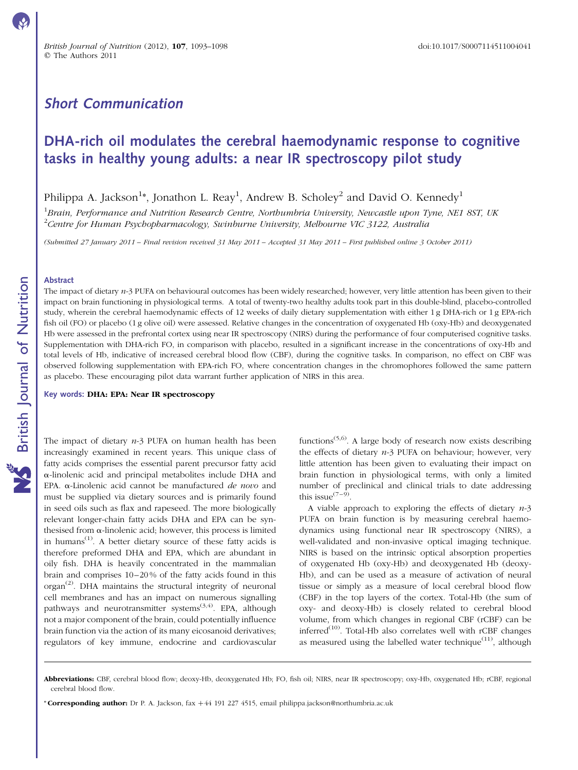## Short Communication

# DHA-rich oil modulates the cerebral haemodynamic response to cognitive tasks in healthy young adults: a near IR spectroscopy pilot study

Philippa A. Jackson $^{1*}$ , Jonathon L. Reay $^{1}$ , Andrew B. Scholey $^{2}$  and David O. Kennedy $^{1}$ 

<sup>1</sup>Brain, Performance and Nutrition Research Centre, Northumbria University, Newcastle upon Tyne, NE1 8ST, UK  $^{2}$ Centre for Human Psychopharmacology, Swinburne University, Melbourne VIC 3122, Australia

(Submitted 27 January 2011 – Final revision received 31 May 2011 – Accepted 31 May 2011 – First published online 3 October 2011)

#### Abstract

The impact of dietary n-3 PUFA on behavioural outcomes has been widely researched; however, very little attention has been given to their impact on brain functioning in physiological terms. A total of twenty-two healthy adults took part in this double-blind, placebo-controlled study, wherein the cerebral haemodynamic effects of 12 weeks of daily dietary supplementation with either 1 g DHA-rich or 1 g EPA-rich fish oil (FO) or placebo (1 g olive oil) were assessed. Relative changes in the concentration of oxygenated Hb (oxy-Hb) and deoxygenated Hb were assessed in the prefrontal cortex using near IR spectroscopy (NIRS) during the performance of four computerised cognitive tasks. Supplementation with DHA-rich FO, in comparison with placebo, resulted in a significant increase in the concentrations of oxy-Hb and total levels of Hb, indicative of increased cerebral blood flow (CBF), during the cognitive tasks. In comparison, no effect on CBF was observed following supplementation with EPA-rich FO, where concentration changes in the chromophores followed the same pattern as placebo. These encouraging pilot data warrant further application of NIRS in this area.

Key words: DHA: EPA: Near IR spectroscopy

The impact of dietary  $n-3$  PUFA on human health has been increasingly examined in recent years. This unique class of fatty acids comprises the essential parent precursor fatty acid a-linolenic acid and principal metabolites include DHA and EPA.  $\alpha$ -Linolenic acid cannot be manufactured *de novo* and must be supplied via dietary sources and is primarily found in seed oils such as flax and rapeseed. The more biologically relevant longer-chain fatty acids DHA and EPA can be synthesised from  $\alpha$ -linolenic acid; however, this process is limited in humans $^{(1)}$ . A better dietary source of these fatty acids is therefore preformed DHA and EPA, which are abundant in oily fish. DHA is heavily concentrated in the mammalian brain and comprises  $10-20%$  of the fatty acids found in this organ<sup>(2)</sup>. DHA maintains the structural integrity of neuronal cell membranes and has an impact on numerous signalling pathways and neurotransmitter systems<sup> $(3,4)$ </sup>. EPA, although not a major component of the brain, could potentially influence brain function via the action of its many eicosanoid derivatives; regulators of key immune, endocrine and cardiovascular functions<sup> $(5,6)$ </sup>. A large body of research now exists describing the effects of dietary  $n-3$  PUFA on behaviour; however, very little attention has been given to evaluating their impact on brain function in physiological terms, with only a limited number of preclinical and clinical trials to date addressing this issue $(7-9)$ .

A viable approach to exploring the effects of dietary  $n-3$ PUFA on brain function is by measuring cerebral haemodynamics using functional near IR spectroscopy (NIRS), a well-validated and non-invasive optical imaging technique. NIRS is based on the intrinsic optical absorption properties of oxygenated Hb (oxy-Hb) and deoxygenated Hb (deoxy-Hb), and can be used as a measure of activation of neural tissue or simply as a measure of local cerebral blood flow (CBF) in the top layers of the cortex. Total-Hb (the sum of oxy- and deoxy-Hb) is closely related to cerebral blood volume, from which changes in regional CBF (rCBF) can be inferred<sup>(10)</sup>. Total-Hb also correlates well with  $rCBF$  changes as measured using the labelled water technique<sup> $(11)$ </sup>, although

Abbreviations: CBF, cerebral blood flow; deoxy-Hb, deoxygenated Hb; FO, fish oil; NIRS, near IR spectroscopy; oxy-Hb, oxygenated Hb; rCBF, regional cerebral blood flow.

<sup>\*</sup> Corresponding author: Dr P. A. Jackson, fax +44 191 227 4515, email philippa.jackson@northumbria.ac.uk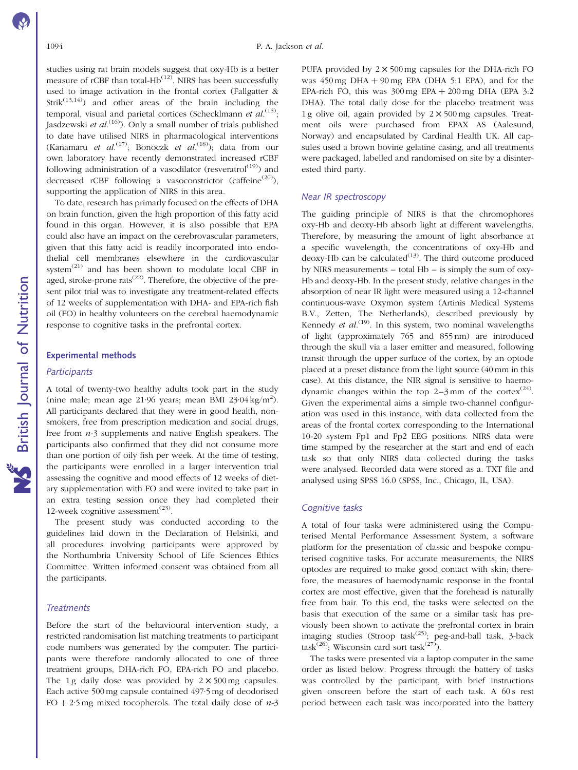<span id="page-2-0"></span>studies using rat brain models suggest that oxy-Hb is a better measure of  $rCBF$  than total-H $b^{(12)}$ . NIRS has been successfully used to image activation in the frontal cortex (Fallgatter &  $Strik<sup>(13,14)</sup>$  and other areas of the brain including the temporal, visual and parietal cortices (Schecklmann et al.<sup>(15)</sup>; Jasdzewski et  $al$ .<sup>(16)</sup>). Only a small number of trials published to date have utilised NIRS in pharmacological interventions (Kanamaru et al.<sup>(17)</sup>; Bonoczk et al.<sup>(18)</sup>); data from our own laboratory have recently demonstrated increased rCBF following administration of a vasodilator (resveratrol<sup>(19)</sup>) and decreased rCBF following a vasoconstrictor (caffeine<sup>(20)</sup>), supporting the application of NIRS in this area.

To date, research has primarly focused on the effects of DHA on brain function, given the high proportion of this fatty acid found in this organ. However, it is also possible that EPA could also have an impact on the cerebrovascular parameters, given that this fatty acid is readily incorporated into endothelial cell membranes elsewhere in the cardiovascular system<sup>(21)</sup> and has been shown to modulate local CBF in aged, stroke-prone rats<sup> $(22)$ </sup>. Therefore, the objective of the present pilot trial was to investigate any treatment-related effects of 12 weeks of supplementation with DHA- and EPA-rich fish oil (FO) in healthy volunteers on the cerebral haemodynamic response to cognitive tasks in the prefrontal cortex.

#### Experimental methods

#### **Participants**

A total of twenty-two healthy adults took part in the study (nine male; mean age  $21.96$  years; mean BMI  $23.04 \text{ kg/m}^2$ ). All participants declared that they were in good health, nonsmokers, free from prescription medication and social drugs, free from n-3 supplements and native English speakers. The participants also confirmed that they did not consume more than one portion of oily fish per week. At the time of testing, the participants were enrolled in a larger intervention trial assessing the cognitive and mood effects of 12 weeks of dietary supplementation with FO and were invited to take part in an extra testing session once they had completed their 12-week cognitive assessment $^{(23)}$ .

The present study was conducted according to the guidelines laid down in the Declaration of Helsinki, and all procedures involving participants were approved by the Northumbria University School of Life Sciences Ethics Committee. Written informed consent was obtained from all the participants.

#### **Treatments**

Before the start of the behavioural intervention study, a restricted randomisation list matching treatments to participant code numbers was generated by the computer. The participants were therefore randomly allocated to one of three treatment groups, DHA-rich FO, EPA-rich FO and placebo. The 1 g daily dose was provided by  $2 \times 500$  mg capsules. Each active 500 mg capsule contained 497·5 mg of deodorised FO + 2.5 mg mixed to copherols. The total daily dose of  $n-3$ 

PUFA provided by  $2 \times 500$  mg capsules for the DHA-rich FO was  $450 \text{ mg}$  DHA  $+ 90 \text{ mg}$  EPA (DHA 5:1 EPA), and for the EPA-rich FO, this was  $300 \text{ mg}$  EPA  $+ 200 \text{ mg}$  DHA (EPA  $3:2$ ) DHA). The total daily dose for the placebo treatment was 1 g olive oil, again provided by  $2 \times 500$  mg capsules. Treatment oils were purchased from EPAX AS (Aalesund, Norway) and encapsulated by Cardinal Health UK. All capsules used a brown bovine gelatine casing, and all treatments were packaged, labelled and randomised on site by a disinterested third party.

#### Near IR spectroscopy

The guiding principle of NIRS is that the chromophores oxy-Hb and deoxy-Hb absorb light at different wavelengths. Therefore, by measuring the amount of light absorbance at a specific wavelength, the concentrations of oxy-Hb and deoxy-Hb can be calculated $^{(13)}$ . The third outcome produced by NIRS measurements – total Hb – is simply the sum of oxy-Hb and deoxy-Hb. In the present study, relative changes in the absorption of near IR light were measured using a 12-channel continuous-wave Oxymon system (Artinis Medical Systems B.V., Zetten, The Netherlands), described previously by Kennedy et  $al^{(19)}$ . In this system, two nominal wavelengths of light (approximately 765 and 855 nm) are introduced through the skull via a laser emitter and measured, following transit through the upper surface of the cortex, by an optode placed at a preset distance from the light source (40 mm in this case). At this distance, the NIR signal is sensitive to haemodynamic changes within the top  $2-3$  mm of the cortex<sup>(24)</sup>. Given the experimental aims a simple two-channel configuration was used in this instance, with data collected from the areas of the frontal cortex corresponding to the International 10-20 system Fp1 and Fp2 EEG positions. NIRS data were time stamped by the researcher at the start and end of each task so that only NIRS data collected during the tasks were analysed. Recorded data were stored as a. TXT file and analysed using SPSS 16.0 (SPSS, Inc., Chicago, IL, USA).

#### Cognitive tasks

A total of four tasks were administered using the Computerised Mental Performance Assessment System, a software platform for the presentation of classic and bespoke computerised cognitive tasks. For accurate measurements, the NIRS optodes are required to make good contact with skin; therefore, the measures of haemodynamic response in the frontal cortex are most effective, given that the forehead is naturally free from hair. To this end, the tasks were selected on the basis that execution of the same or a similar task has previously been shown to activate the prefrontal cortex in brain imaging studies (Stroop task<sup>(25)</sup>; peg-and-ball task, 3-back task<sup>(26)</sup>; Wisconsin card sort task<sup>(27)</sup>).

The tasks were presented via a laptop computer in the same order as listed below. Progress through the battery of tasks was controlled by the participant, with brief instructions given onscreen before the start of each task. A 60 s rest period between each task was incorporated into the battery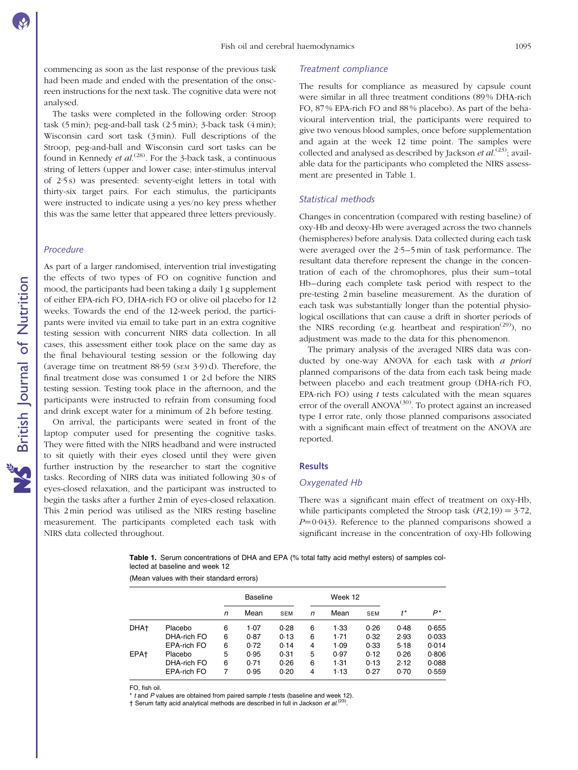<span id="page-3-0"></span>commencing as soon as the last response of the previous task had been made and ended with the presentation of the onscreen instructions for the next task. The cognitive data were not analysed.

The tasks were completed in the following order: Stroop task (5 min); peg-and-ball task (2·5 min); 3-back task (4 min); Wisconsin card sort task (3 min). Full descriptions of the Stroop, peg-and-ball and Wisconsin card sort tasks can be found in Kennedy et  $al^{(28)}$ . For the 3-back task, a continuous string of letters (upper and lower case; inter-stimulus interval of 2·5 s) was presented: seventy-eight letters in total with thirty-six target pairs. For each stimulus, the participants were instructed to indicate using a yes/no key press whether this was the same letter that appeared three letters previously.

## Procedure

As part of a larger randomised, intervention trial investigating the effects of two types of FO on cognitive function and mood, the participants had been taking a daily 1 g supplement of either EPA-rich FO, DHA-rich FO or olive oil placebo for 12 weeks. Towards the end of the 12-week period, the participants were invited via email to take part in an extra cognitive testing session with concurrent NIRS data collection. In all cases, this assessment either took place on the same day as the final behavioural testing session or the following day (average time on treatment 88·59 (SEM 3·9) d). Therefore, the final treatment dose was consumed 1 or 2d before the NIRS testing session. Testing took place in the afternoon, and the participants were instructed to refrain from consuming food and drink except water for a minimum of 2h before testing.

On arrival, the participants were seated in front of the laptop computer used for presenting the cognitive tasks. They were fitted with the NIRS headband and were instructed to sit quietly with their eyes closed until they were given further instruction by the researcher to start the cognitive tasks. Recording of NIRS data was initiated following 30 s of eyes-closed relaxation, and the participant was instructed to begin the tasks after a further 2 min of eyes-closed relaxation. This 2 min period was utilised as the NIRS resting baseline measurement. The participants completed each task with NIRS data collected throughout.

#### Treatment compliance

The results for compliance as measured by capsule count were similar in all three treatment conditions (89 % DHA-rich FO, 87 % EPA-rich FO and 88 % placebo). As part of the behavioural intervention trial, the participants were required to give two venous blood samples, once before supplementation and again at the week 12 time point. The samples were collected and analysed as described by Jackson et  $al^{(23)}$ ; available data for the participants who completed the NIRS assessment are presented in [Table 1](#page-2-0).

#### Statistical methods

Changes in concentration (compared with resting baseline) of oxy-Hb and deoxy-Hb were averaged across the two channels (hemispheres) before analysis. Data collected during each task were averaged over the 2·5–5 min of task performance. The resultant data therefore represent the change in the concentration of each of the chromophores, plus their sum –total Hb –during each complete task period with respect to the pre-testing 2 min baseline measurement. As the duration of each task was substantially longer than the potential physiological oscillations that can cause a drift in shorter periods of the NIRS recording (e.g. heartbeat and respiration<sup>(29)</sup>), no adjustment was made to the data for this phenomenon.

The primary analysis of the averaged NIRS data was conducted by one-way ANOVA for each task with a priori planned comparisons of the data from each task being made between placebo and each treatment group (DHA-rich FO, EPA-rich FO) using  $t$  tests calculated with the mean squares error of the overall  $ANOVA^{(30)}$ . To protect against an increased type I error rate, only those planned comparisons associated with a significant main effect of treatment on the ANOVA are reported.

#### **Results**

#### Oxygenated Hb

.

There was a significant main effect of treatment on oxy-Hb, while participants completed the Stroop task  $(F(2,19) = 3.72,$  $P=0.043$ ). Reference to the planned comparisons showed a significant increase in the concentration of oxy-Hb following

Table 1. Serum concentrations of DHA and EPA (% total fatty acid methyl esters) of samples collected at baseline and week 12

(Mean values with their standard errors)

|                  |             |   | <b>Baseline</b> |            |   | Week 12 |            |       |       |
|------------------|-------------|---|-----------------|------------|---|---------|------------|-------|-------|
|                  |             | n | Mean            | <b>SEM</b> | n | Mean    | <b>SEM</b> | $t^*$ | P*    |
| DHA <sup>+</sup> | Placebo     | 6 | 1.07            | 0.28       | 6 | 1.33    | 0.26       | 0.48  | 0.655 |
|                  | DHA-rich FO | 6 | 0.87            | 0.13       | 6 | 1.71    | 0.32       | 2.93  | 0.033 |
|                  | EPA-rich FO | 6 | 0.72            | 0.14       | 4 | $1-09$  | 0.33       | 5.18  | 0.014 |
| EPA <sup>+</sup> | Placebo     | 5 | 0.95            | 0.31       | 5 | 0.97    | 0.12       | 0.26  | 0.806 |
|                  | DHA-rich FO | 6 | 0.71            | 0.26       | 6 | $1-31$  | 0.13       | 2.12  | 0.088 |
|                  | EPA-rich FO | 7 | 0.95            | 0.20       | 4 | $1-13$  | 0.27       | 0.70  | 0.559 |

FO, fish oil.

 $*$  t and  $P$  values are obtained from paired sample  $t$  tests (baseline and week 12).

 $\dagger$  Serum fatty acid analytical methods are described in full in Jackson et al.<sup>(2</sup>)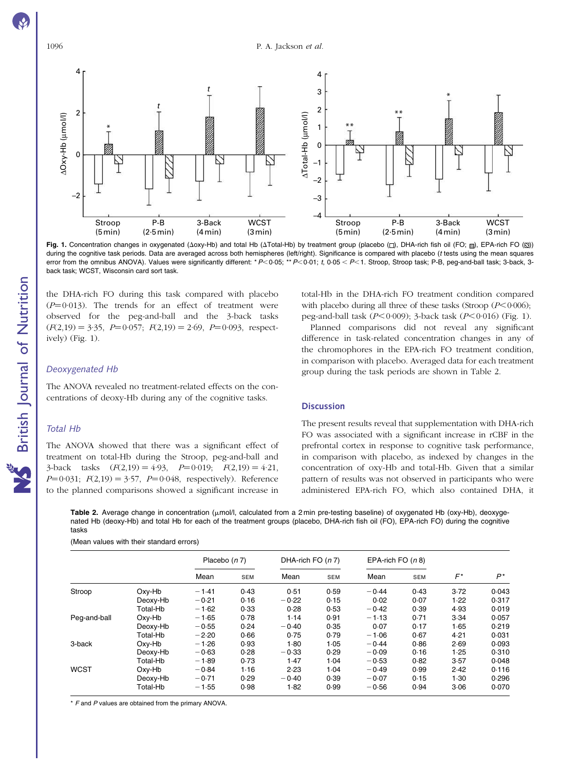

Fig. 1. Concentration changes in oxygenated ( $\Delta$ oxy-Hb) and total Hb ( $\Delta$ Total-Hb) by treatment group (placebo ( $\square$ ), DHA-rich fish oil (FO;  $\blacksquare$ ), EPA-rich FO ( $\boxtimes$ )) during the cognitive task periods. Data are averaged across both hemispheres (left/right). Significance is compared with placebo (t tests using the mean squares error from the omnibus ANOVA). Values were significantly different: \* P<0.05; \*\* P<0.01; t, 0.05 < P<1. Stroop, Stroop task; P-B, peg-and-ball task; 3-back, 3back task; WCST, Wisconsin card sort task.

the DHA-rich FO during this task compared with placebo  $(P=0.013)$ . The trends for an effect of treatment were observed for the peg-and-ball and the 3-back tasks  $(F(2,19) = 3.35, P=0.057; F(2,19) = 2.69, P=0.093, respectively.$ ively) ([Fig. 1](#page-3-0)).

#### Deoxygenated Hb

The ANOVA revealed no treatment-related effects on the concentrations of deoxy-Hb during any of the cognitive tasks.

#### Total Hb

The ANOVA showed that there was a significant effect of treatment on total-Hb during the Stroop, peg-and-ball and 3-back tasks  $(F(2,19) = 4.93, P=0.019; F(2,19) = 4.21,$  $P=0.031$ ;  $F(2,19) = 3.57$ ,  $P=0.048$ , respectively). Reference to the planned comparisons showed a significant increase in

total-Hb in the DHA-rich FO treatment condition compared with placebo during all three of these tasks (Stroop  $(P<0.006)$ ; peg-and-ball task  $(P<0.009)$ ; 3-back task  $(P<0.016)$  [\(Fig. 1](#page-3-0)).

Planned comparisons did not reveal any significant difference in task-related concentration changes in any of the chromophores in the EPA-rich FO treatment condition, in comparison with placebo. Averaged data for each treatment group during the task periods are shown in [Table 2.](#page-3-0)

#### **Discussion**

The present results reveal that supplementation with DHA-rich FO was associated with a significant increase in rCBF in the prefrontal cortex in response to cognitive task performance, in comparison with placebo, as indexed by changes in the concentration of oxy-Hb and total-Hb. Given that a similar pattern of results was not observed in participants who were administered EPA-rich FO, which also contained DHA, it

Table 2. Average change in concentration  $(\mu \text{mol/l}, \text{calculated from a 2 min pre-testing baseline})$  of oxygenated Hb (oxy-Hb), deoxygenated Hb (deoxy-Hb) and total Hb for each of the treatment groups (placebo, DHA-rich fish oil (FO), EPA-rich FO) during the cognitive tasks

| (Mean values with their standard errors) |  |
|------------------------------------------|--|
|------------------------------------------|--|

|              |          | Placebo $(n 7)$ |            | DHA-rich FO $(n 7)$ |            | EPA-rich FO $(n 8)$ |      |       |       |
|--------------|----------|-----------------|------------|---------------------|------------|---------------------|------|-------|-------|
|              |          | Mean            | <b>SEM</b> | Mean                | <b>SEM</b> | Mean                | SEM  | $F^*$ | $P^*$ |
| Stroop       | Oxv-Hb   | $-1.41$         | 0.43       | 0.51                | 0.59       | $-0.44$             | 0.43 | 3.72  | 0.043 |
|              | Deoxy-Hb | $-0.21$         | 0.16       | $-0.22$             | 0.15       | 0.02                | 0.07 | 1.22  | 0.317 |
|              | Total-Hb | $-1.62$         | 0.33       | 0.28                | 0.53       | $-0.42$             | 0.39 | 4.93  | 0.019 |
| Peg-and-ball | Oxy-Hb   | $-1.65$         | 0.78       | 1.14                | 0.91       | $-1.13$             | 0.71 | 3.34  | 0.057 |
|              | Deoxy-Hb | $-0.55$         | 0.24       | $-0.40$             | 0.35       | 0.07                | 0.17 | 1.65  | 0.219 |
|              | Total-Hb | $-2.20$         | 0.66       | 0.75                | 0.79       | $-1.06$             | 0.67 | 4.21  | 0.031 |
| 3-back       | Oxy-Hb   | $-1.26$         | 0.93       | 1.80                | 1.05       | $-0.44$             | 0.86 | 2.69  | 0.093 |
|              | Deoxy-Hb | $-0.63$         | 0.28       | $-0.33$             | 0.29       | $-0.09$             | 0.16 | 1.25  | 0.310 |
|              | Total-Hb | $-1.89$         | 0.73       | 1.47                | 1.04       | $-0.53$             | 0.82 | 3.57  | 0.048 |
| <b>WCST</b>  | Oxv-Hb   | $-0.84$         | 1.16       | 2.23                | 1.04       | $-0.49$             | 0.99 | 2.42  | 0.116 |
|              | Deoxy-Hb | $-0.71$         | 0.29       | $-0.40$             | 0.39       | $-0.07$             | 0.15 | 1.30  | 0.296 |
|              | Total-Hb | $-1.55$         | 0.98       | 1.82                | 0.99       | $-0.56$             | 0.94 | 3.06  | 0.070 |

\* F and P values are obtained from the primary ANOVA.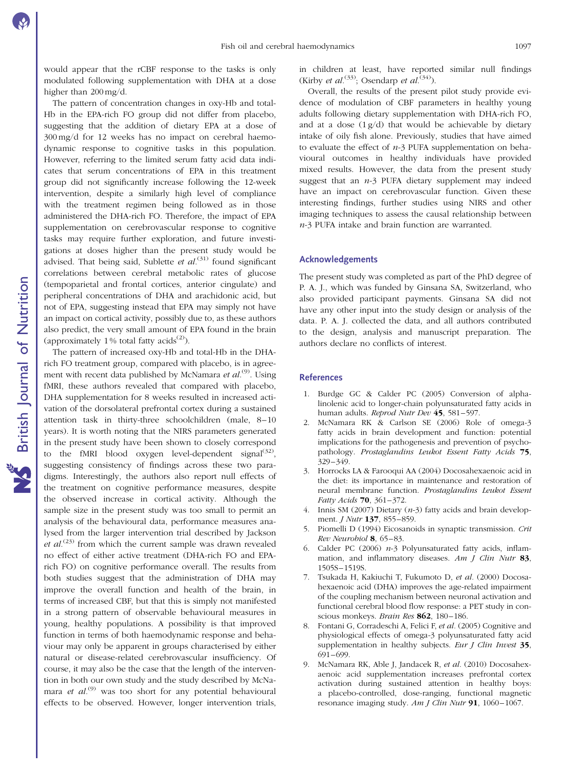would appear that the rCBF response to the tasks is only modulated following supplementation with DHA at a dose higher than 200 mg/d.

The pattern of concentration changes in oxy-Hb and total-Hb in the EPA-rich FO group did not differ from placebo, suggesting that the addition of dietary EPA at a dose of 300 mg/d for 12 weeks has no impact on cerebral haemodynamic response to cognitive tasks in this population. However, referring to the limited serum fatty acid data indicates that serum concentrations of EPA in this treatment group did not significantly increase following the 12-week intervention, despite a similarly high level of compliance with the treatment regimen being followed as in those administered the DHA-rich FO. Therefore, the impact of EPA supplementation on cerebrovascular response to cognitive tasks may require further exploration, and future investigations at doses higher than the present study would be advised. That being said, Sublette et  $al^{(31)}$  found significant correlations between cerebral metabolic rates of glucose (tempoparietal and frontal cortices, anterior cingulate) and peripheral concentrations of DHA and arachidonic acid, but not of EPA, suggesting instead that EPA may simply not have an impact on cortical activity, possibly due to, as these authors also predict, the very small amount of EPA found in the brain (approximately  $1\%$  total fatty acids<sup>(2)</sup>).

The pattern of increased oxy-Hb and total-Hb in the DHArich FO treatment group, compared with placebo, is in agreement with recent data published by McNamara *et al.*<sup>(9)</sup>. Using fMRI, these authors revealed that compared with placebo, DHA supplementation for 8 weeks resulted in increased activation of the dorsolateral prefrontal cortex during a sustained attention task in thirty-three schoolchildren (male, 8-10) years). It is worth noting that the NIRS parameters generated in the present study have been shown to closely correspond to the fMRI blood oxygen level-dependent signal<sup>(32)</sup>, suggesting consistency of findings across these two paradigms. Interestingly, the authors also report null effects of the treatment on cognitive performance measures, despite the observed increase in cortical activity. Although the sample size in the present study was too small to permit an analysis of the behavioural data, performance measures analysed from the larger intervention trial described by Jackson et  $al^{(23)}$  from which the current sample was drawn revealed no effect of either active treatment (DHA-rich FO and EPArich FO) on cognitive performance overall. The results from both studies suggest that the administration of DHA may improve the overall function and health of the brain, in terms of increased CBF, but that this is simply not manifested in a strong pattern of observable behavioural measures in young, healthy populations. A possibility is that improved function in terms of both haemodynamic response and behaviour may only be apparent in groups characterised by either natural or disease-related cerebrovascular insufficiency. Of course, it may also be the case that the length of the intervention in both our own study and the study described by McNamara et  $al^{(9)}$  was too short for any potential behavioural effects to be observed. However, longer intervention trials,

in children at least, have reported similar null findings (Kirby et al.<sup>(33)</sup>; Osendarp et al.<sup>(34)</sup>).

Overall, the results of the present pilot study provide evidence of modulation of CBF parameters in healthy young adults following dietary supplementation with DHA-rich FO, and at a dose  $(1 g/d)$  that would be achievable by dietary intake of oily fish alone. Previously, studies that have aimed to evaluate the effect of  $n-3$  PUFA supplementation on behavioural outcomes in healthy individuals have provided mixed results. However, the data from the present study suggest that an  $n-3$  PUFA dietary supplement may indeed have an impact on cerebrovascular function. Given these interesting findings, further studies using NIRS and other imaging techniques to assess the causal relationship between n-3 PUFA intake and brain function are warranted.

#### Acknowledgements

The present study was completed as part of the PhD degree of P. A. J., which was funded by Ginsana SA, Switzerland, who also provided participant payments. Ginsana SA did not have any other input into the study design or analysis of the data. P. A. J. collected the data, and all authors contributed to the design, analysis and manuscript preparation. The authors declare no conflicts of interest.

## References

- 1. Burdge GC & Calder PC (2005) Conversion of alphalinolenic acid to longer-chain polyunsaturated fatty acids in human adults. Reprod Nutr Dev 45, 581-597.
- 2. McNamara RK & Carlson SE (2006) Role of omega-3 fatty acids in brain development and function: potential implications for the pathogenesis and prevention of psychopathology. Prostaglandins Leukot Essent Fatty Acids 75, 329 – 349.
- 3. Horrocks LA & Farooqui AA (2004) Docosahexaenoic acid in the diet: its importance in maintenance and restoration of neural membrane function. Prostaglandins Leukot Essent Fatty Acids  $70$ ,  $361 - 372$ .
- 4. Innis SM (2007) Dietary  $(n-3)$  fatty acids and brain development. *J Nutr* 137, 855-859.
- 5. Piomelli D (1994) Eicosanoids in synaptic transmission. Crit Rev Neurobiol  $8, 65-83$ .
- 6. Calder PC (2006)  $n-3$  Polyunsaturated fatty acids, inflammation, and inflammatory diseases. Am  $J$  Clin Nutr  $83$ , 1505S– 1519S.
- 7. Tsukada H, Kakiuchi T, Fukumoto D, et al. (2000) Docosahexaenoic acid (DHA) improves the age-related impairment of the coupling mechanism between neuronal activation and functional cerebral blood flow response: a PET study in conscious monkeys. Brain Res 862, 180-186.
- 8. Fontani G, Corradeschi A, Felici F, et al. (2005) Cognitive and physiological effects of omega-3 polyunsaturated fatty acid supplementation in healthy subjects. Eur J Clin Invest  $35$ , 691 – 699.
- 9. McNamara RK, Able J, Jandacek R, et al. (2010) Docosahexaenoic acid supplementation increases prefrontal cortex activation during sustained attention in healthy boys: a placebo-controlled, dose-ranging, functional magnetic resonance imaging study. Am *J Clin Nutr* 91, 1060-1067.